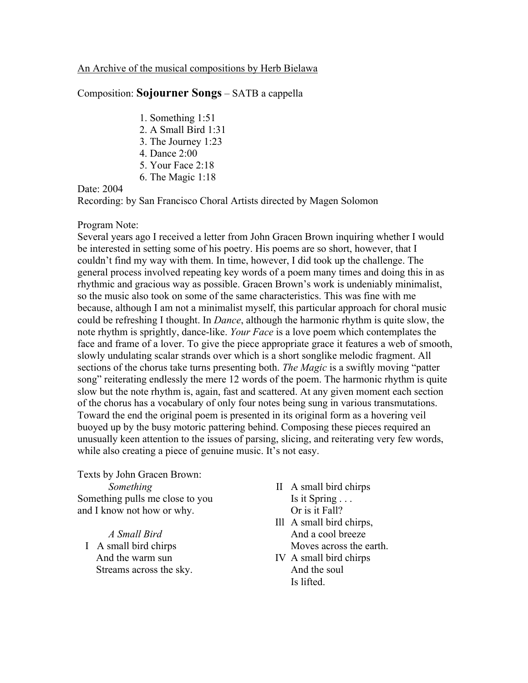## An Archive of the musical compositions by Herb Bielawa

## Composition: **Sojourner Songs** – SATB a cappella

- 1. Something 1:51
- 2. A Small Bird 1:31
- 3. The Journey 1:23
- 4. Dance 2:00
- 5. Your Face 2:18
- 6. The Magic 1:18

## Date: 2004

Recording: by San Francisco Choral Artists directed by Magen Solomon

## Program Note:

Several years ago I received a letter from John Gracen Brown inquiring whether I would be interested in setting some of his poetry. His poems are so short, however, that I couldn't find my way with them. In time, however, I did took up the challenge. The general process involved repeating key words of a poem many times and doing this in as rhythmic and gracious way as possible. Gracen Brown's work is undeniably minimalist, so the music also took on some of the same characteristics. This was fine with me because, although I am not a minimalist myself, this particular approach for choral music could be refreshing I thought. In *Dance*, although the harmonic rhythm is quite slow, the note rhythm is sprightly, dance-like. *Your Face* is a love poem which contemplates the face and frame of a lover. To give the piece appropriate grace it features a web of smooth, slowly undulating scalar strands over which is a short songlike melodic fragment. All sections of the chorus take turns presenting both. *The Magic* is a swiftly moving "patter song" reiterating endlessly the mere 12 words of the poem. The harmonic rhythm is quite slow but the note rhythm is, again, fast and scattered. At any given moment each section of the chorus has a vocabulary of only four notes being sung in various transmutations. Toward the end the original poem is presented in its original form as a hovering veil buoyed up by the busy motoric pattering behind. Composing these pieces required an unusually keen attention to the issues of parsing, slicing, and reiterating very few words, while also creating a piece of genuine music. It's not easy.

Texts by John Gracen Brown: *Something* Something pulls me close to you and I know not how or why.

*A Small Bird* I A small bird chirps And the warm sun Streams across the sky.

- II A small bird chirps Is it Spring . . . Or is it Fall?
- Ill A small bird chirps, And a cool breeze Moves across the earth.
- IV A small bird chirps And the soul Is lifted.